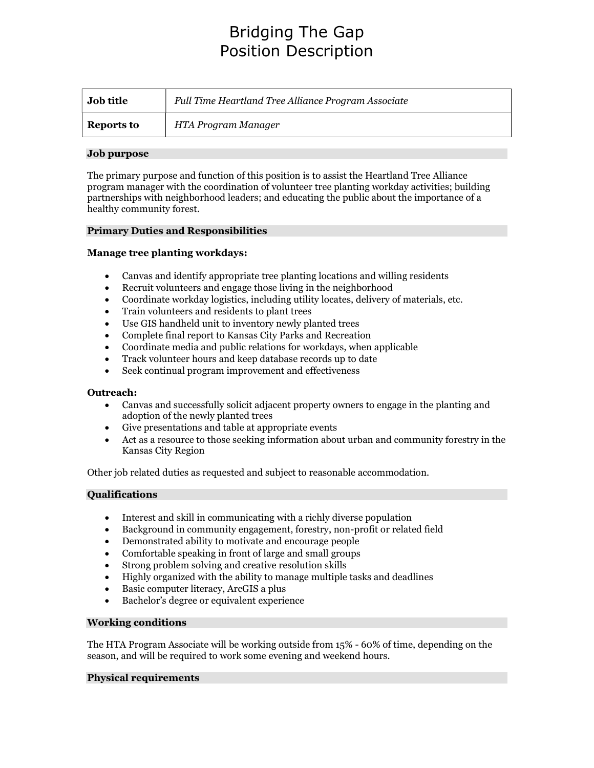# Bridging The Gap Position Description

| <b>Job title</b>  | Full Time Heartland Tree Alliance Program Associate |
|-------------------|-----------------------------------------------------|
| <b>Reports to</b> | HTA Program Manager                                 |

### Job purpose

The primary purpose and function of this position is to assist the Heartland Tree Alliance program manager with the coordination of volunteer tree planting workday activities; building partnerships with neighborhood leaders; and educating the public about the importance of a healthy community forest.

#### Primary Duties and Responsibilities

## Manage tree planting workdays:

- Canvas and identify appropriate tree planting locations and willing residents
- Recruit volunteers and engage those living in the neighborhood
- Coordinate workday logistics, including utility locates, delivery of materials, etc.
- Train volunteers and residents to plant trees
- Use GIS handheld unit to inventory newly planted trees
- Complete final report to Kansas City Parks and Recreation
- Coordinate media and public relations for workdays, when applicable
- Track volunteer hours and keep database records up to date
- Seek continual program improvement and effectiveness

#### Outreach:

- Canvas and successfully solicit adjacent property owners to engage in the planting and adoption of the newly planted trees
- Give presentations and table at appropriate events
- Act as a resource to those seeking information about urban and community forestry in the Kansas City Region

Other job related duties as requested and subject to reasonable accommodation.

#### Qualifications

- Interest and skill in communicating with a richly diverse population
- Background in community engagement, forestry, non-profit or related field
- Demonstrated ability to motivate and encourage people
- Comfortable speaking in front of large and small groups
- Strong problem solving and creative resolution skills
- Highly organized with the ability to manage multiple tasks and deadlines
- Basic computer literacy, ArcGIS a plus
- Bachelor's degree or equivalent experience

#### Working conditions

The HTA Program Associate will be working outside from 15% - 60% of time, depending on the season, and will be required to work some evening and weekend hours.

#### Physical requirements